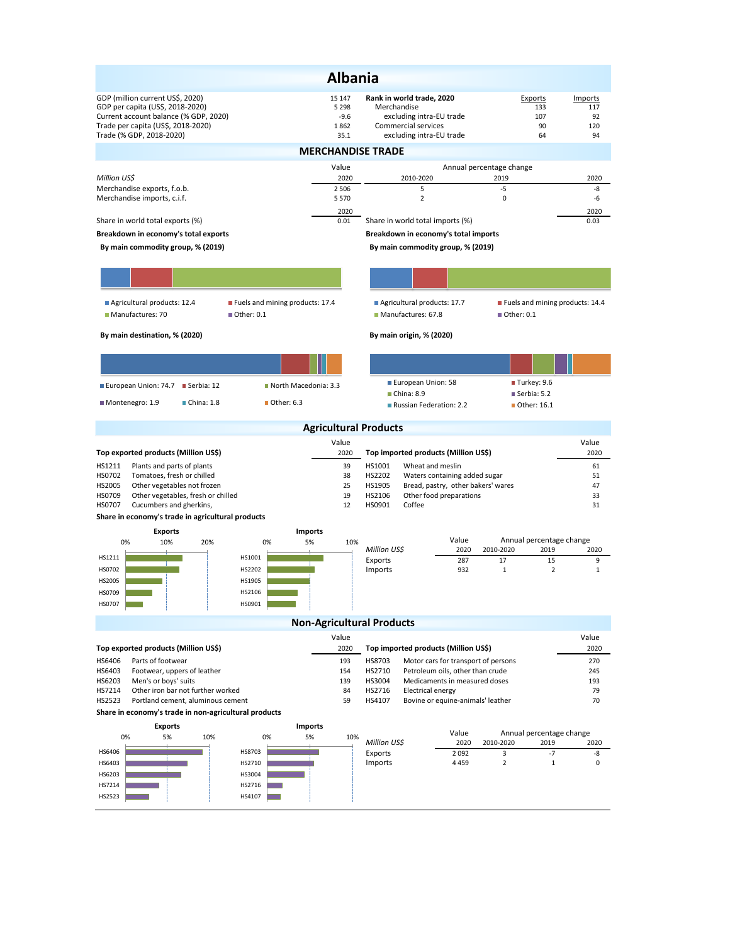|                                                                                                                                                     |                                               | <b>Albania</b>                      |                                  |                                                                              |                          |                                                 |                             |  |  |  |  |
|-----------------------------------------------------------------------------------------------------------------------------------------------------|-----------------------------------------------|-------------------------------------|----------------------------------|------------------------------------------------------------------------------|--------------------------|-------------------------------------------------|-----------------------------|--|--|--|--|
| GDP (million current US\$, 2020)<br>GDP per capita (US\$, 2018-2020)<br>Current account balance (% GDP, 2020)<br>Trade per capita (US\$, 2018-2020) |                                               | 15 147<br>5 2 9 8<br>$-9.6$<br>1862 | Merchandise                      | Rank in world trade, 2020<br>excluding intra-EU trade<br>Commercial services |                          | Exports<br>133<br>107<br>90                     | Imports<br>117<br>92<br>120 |  |  |  |  |
| Trade (% GDP, 2018-2020)<br>35.1<br>excluding intra-EU trade<br>64<br>94<br><b>MERCHANDISE TRADE</b>                                                |                                               |                                     |                                  |                                                                              |                          |                                                 |                             |  |  |  |  |
|                                                                                                                                                     |                                               | Value                               |                                  |                                                                              | Annual percentage change |                                                 |                             |  |  |  |  |
| Million US\$                                                                                                                                        |                                               | 2020                                |                                  | 2010-2020                                                                    |                          | 2019                                            | 2020                        |  |  |  |  |
| Merchandise exports, f.o.b.<br>Merchandise imports, c.i.f.                                                                                          |                                               | 2 5 0 6<br>5 5 7 0                  |                                  | 5<br>$\overline{2}$                                                          |                          | -5<br>0                                         | -8<br>-6                    |  |  |  |  |
|                                                                                                                                                     |                                               | 2020                                |                                  |                                                                              |                          |                                                 | 2020                        |  |  |  |  |
| Share in world total exports (%)                                                                                                                    |                                               | 0.01                                |                                  | Share in world total imports (%)                                             |                          |                                                 | 0.03                        |  |  |  |  |
| Breakdown in economy's total exports                                                                                                                |                                               |                                     |                                  | Breakdown in economy's total imports                                         |                          |                                                 |                             |  |  |  |  |
| By main commodity group, % (2019)                                                                                                                   |                                               |                                     |                                  | By main commodity group, % (2019)                                            |                          |                                                 |                             |  |  |  |  |
|                                                                                                                                                     |                                               |                                     |                                  |                                                                              |                          |                                                 |                             |  |  |  |  |
| Agricultural products: 12.4<br>Manufactures: 70                                                                                                     | Fuels and mining products: 17.4<br>Other: 0.1 |                                     |                                  | Agricultural products: 17.7<br>Manufactures: 67.8                            |                          | Fuels and mining products: 14.4<br>■ Other: 0.1 |                             |  |  |  |  |
| By main destination, % (2020)                                                                                                                       |                                               |                                     |                                  | By main origin, % (2020)                                                     |                          |                                                 |                             |  |  |  |  |
|                                                                                                                                                     |                                               |                                     |                                  |                                                                              |                          |                                                 |                             |  |  |  |  |
|                                                                                                                                                     | North Macedonia: 3.3                          |                                     |                                  | European Union: 58                                                           |                          | Turkey: 9.6                                     |                             |  |  |  |  |
| European Union: 74.7 Serbia: 12                                                                                                                     |                                               |                                     |                                  | ■ China: 8.9                                                                 |                          | Serbia: 5.2                                     |                             |  |  |  |  |
| ■ China: 1.8<br>Montenegro: 1.9                                                                                                                     | ■ Other: 6.3                                  |                                     |                                  | Russian Federation: 2.2                                                      |                          | ■ Other: 16.1                                   |                             |  |  |  |  |
|                                                                                                                                                     |                                               |                                     | <b>Agricultural Products</b>     |                                                                              |                          |                                                 |                             |  |  |  |  |
|                                                                                                                                                     |                                               | Value                               |                                  |                                                                              |                          |                                                 | Value                       |  |  |  |  |
| Top exported products (Million US\$)                                                                                                                |                                               | 2020                                |                                  | Top imported products (Million US\$)                                         |                          |                                                 | 2020                        |  |  |  |  |
| HS1211<br>Plants and parts of plants<br>HS0702<br>Tomatoes, fresh or chilled                                                                        |                                               | 39<br>38                            | HS1001<br>HS2202                 | Wheat and meslin<br>Waters containing added sugar                            |                          |                                                 | 61<br>51                    |  |  |  |  |
| HS2005<br>Other vegetables not frozen                                                                                                               |                                               | 25                                  | HS1905                           | Bread, pastry, other bakers' wares                                           |                          |                                                 | 47                          |  |  |  |  |
| HS0709<br>Other vegetables, fresh or chilled<br>HS0707<br>Cucumbers and gherkins,                                                                   |                                               | 19<br>12                            | HS2106<br>HS0901                 | Other food preparations<br>Coffee                                            |                          |                                                 | 33<br>31                    |  |  |  |  |
| Share in economy's trade in agricultural products                                                                                                   |                                               |                                     |                                  |                                                                              |                          |                                                 |                             |  |  |  |  |
| <b>Exports</b>                                                                                                                                      | <b>Imports</b>                                |                                     |                                  |                                                                              |                          |                                                 |                             |  |  |  |  |
| 0%<br>10%<br>20%                                                                                                                                    | 5%<br>0%                                      | 10%                                 | Million US\$                     |                                                                              | Value<br>2020            | Annual percentage change<br>2010-2020<br>2019   | 2020                        |  |  |  |  |
| HS1211<br>HS0702                                                                                                                                    | HS1001<br>HS2202                              |                                     | Exports<br>Imports               |                                                                              | 287<br>932               | 17<br>15<br>$\mathbf{1}$<br>$\overline{2}$      | 9<br>$\mathbf{1}$           |  |  |  |  |
| HS2005                                                                                                                                              | HS1905                                        |                                     |                                  |                                                                              |                          |                                                 |                             |  |  |  |  |
| HS0709                                                                                                                                              | HS2106                                        |                                     |                                  |                                                                              |                          |                                                 |                             |  |  |  |  |
| HS0707                                                                                                                                              | HS0901                                        |                                     |                                  |                                                                              |                          |                                                 |                             |  |  |  |  |
|                                                                                                                                                     |                                               |                                     | <b>Non-Agricultural Products</b> |                                                                              |                          |                                                 |                             |  |  |  |  |
|                                                                                                                                                     |                                               | Value                               |                                  |                                                                              |                          |                                                 | Value                       |  |  |  |  |
| Top exported products (Million US\$)                                                                                                                |                                               | 2020                                |                                  | Top imported products (Million US\$)                                         |                          |                                                 | 2020                        |  |  |  |  |
| Parts of footwear<br>HS6406<br>HS6403<br>Footwear, uppers of leather                                                                                |                                               | 193<br>154                          | HS8703<br>HS2710                 | Motor cars for transport of persons<br>Petroleum oils, other than crude      |                          |                                                 | 270<br>245                  |  |  |  |  |
| HS6203<br>Men's or boys' suits                                                                                                                      |                                               | 139                                 | HS3004                           | Medicaments in measured doses                                                |                          |                                                 | 193                         |  |  |  |  |
| HS7214<br>Other iron bar not further worked<br>HS2523<br>Portland cement, aluminous cement                                                          |                                               | 84<br>59                            | HS2716<br>HS4107                 | <b>Electrical energy</b><br>Bovine or equine-animals' leather                |                          |                                                 | 79<br>70                    |  |  |  |  |
| Share in economy's trade in non-agricultural products                                                                                               |                                               |                                     |                                  |                                                                              |                          |                                                 |                             |  |  |  |  |
| <b>Exports</b>                                                                                                                                      | <b>Imports</b>                                |                                     |                                  |                                                                              |                          |                                                 |                             |  |  |  |  |
| 0%<br>5%<br>10%                                                                                                                                     | 0%<br>5%                                      | 10%                                 | Million US\$                     |                                                                              | Value<br>2020            | Annual percentage change<br>2010-2020<br>2019   | 2020                        |  |  |  |  |
| HS6406                                                                                                                                              | HS8703                                        |                                     | Exports                          |                                                                              | 2092                     | $-7$<br>3                                       | -8                          |  |  |  |  |
| HS6403<br>HS6203                                                                                                                                    | HS2710<br>HS3004                              |                                     | Imports                          |                                                                              | 4459                     | $\overline{2}$<br>$\mathbf{1}$                  | 0                           |  |  |  |  |
| HS7214                                                                                                                                              | HS2716                                        |                                     |                                  |                                                                              |                          |                                                 |                             |  |  |  |  |
| HS2523                                                                                                                                              | HS4107                                        |                                     |                                  |                                                                              |                          |                                                 |                             |  |  |  |  |
|                                                                                                                                                     |                                               |                                     |                                  |                                                                              |                          |                                                 |                             |  |  |  |  |